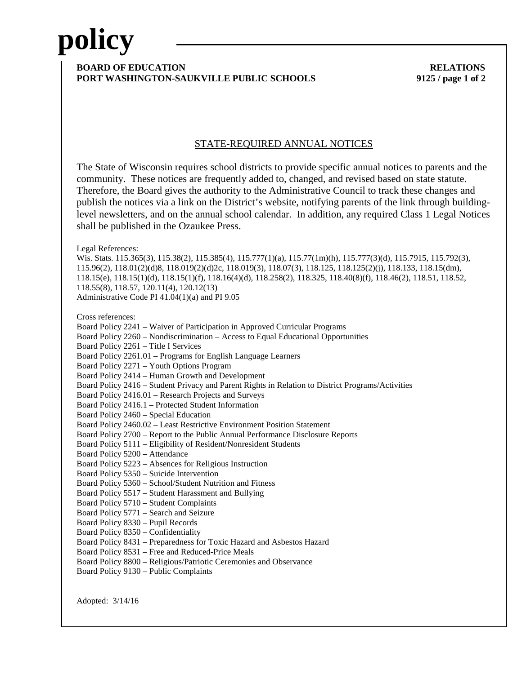# **policy**

### **BOARD OF EDUCATION RELATIONS PORT WASHINGTON-SAUKVILLE PUBLIC SCHOOLS 9125 / page 1 of 2**

### STATE-REQUIRED ANNUAL NOTICES

The State of Wisconsin requires school districts to provide specific annual notices to parents and the community. These notices are frequently added to, changed, and revised based on state statute. Therefore, the Board gives the authority to the Administrative Council to track these changes and publish the notices via a link on the District's website, notifying parents of the link through buildinglevel newsletters, and on the annual school calendar. In addition, any required Class 1 Legal Notices shall be published in the Ozaukee Press.

Legal References:

Wis. Stats. 115.365(3), 115.38(2), 115.385(4), 115.777(1)(a), 115.77(1m)(h), 115.777(3)(d), 115.7915, 115.792(3), 115.96(2), 118.01(2)(d)8, 118.019(2)(d)2c, 118.019(3), 118.07(3), 118.125, 118.125(2)(j), 118.133, 118.15(dm), 118.15(e), 118.15(1)(d), 118.15(1)(f), 118.16(4)(d), 118.258(2), 118.325, 118.40(8)(f), 118.46(2), 118.51, 118.52, 118.55(8), 118.57, 120.11(4), 120.12(13) Administrative Code PI 41.04(1)(a) and PI 9.05

Cross references:

Board Policy 2241 – Waiver of Participation in Approved Curricular Programs

Board Policy 2260 – Nondiscrimination – Access to Equal Educational Opportunities

Board Policy 2261 – Title I Services

Board Policy 2261.01 – Programs for English Language Learners

Board Policy 2271 – Youth Options Program

Board Policy 2414 – Human Growth and Development

Board Policy 2416 – Student Privacy and Parent Rights in Relation to District Programs/Activities

Board Policy 2416.01 – Research Projects and Surveys

Board Policy 2416.1 – Protected Student Information

Board Policy 2460 – Special Education

Board Policy 2460.02 – Least Restrictive Environment Position Statement

Board Policy 2700 – Report to the Public Annual Performance Disclosure Reports

Board Policy 5111 – Eligibility of Resident/Nonresident Students

Board Policy 5200 – Attendance

Board Policy 5223 – Absences for Religious Instruction

Board Policy 5350 – Suicide Intervention

Board Policy 5360 – School/Student Nutrition and Fitness

Board Policy 5517 – Student Harassment and Bullying

Board Policy 5710 – Student Complaints

Board Policy 5771 – Search and Seizure

Board Policy 8330 – Pupil Records

Board Policy 8350 – Confidentiality

Board Policy 8431 – Preparedness for Toxic Hazard and Asbestos Hazard

Board Policy 8531 – Free and Reduced-Price Meals

Board Policy 8800 – Religious/Patriotic Ceremonies and Observance

Board Policy 9130 – Public Complaints

Adopted: 3/14/16